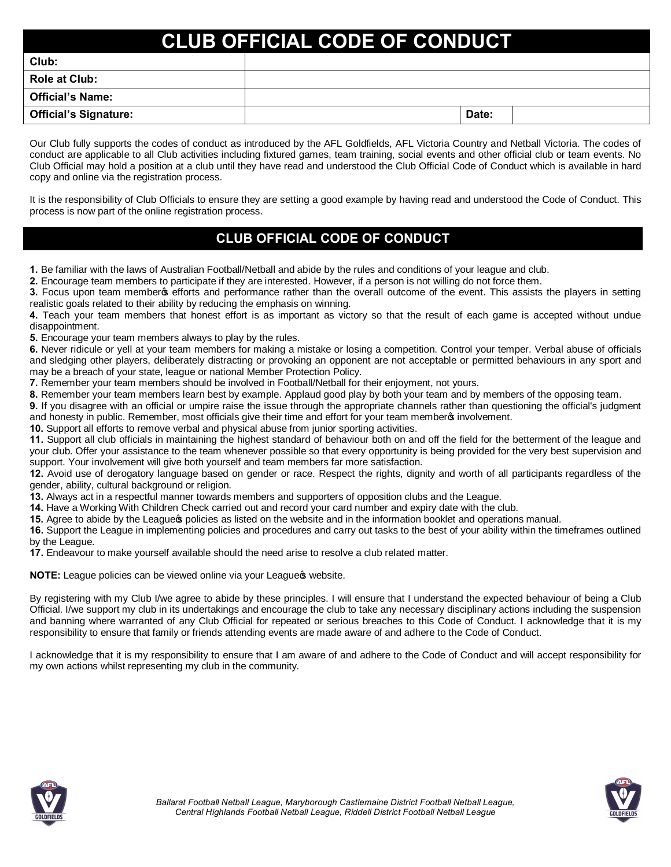# **CLUB OFFICIAL CODE OF CONDUCT**

| Club:                        |       |  |
|------------------------------|-------|--|
| Role at Club:                |       |  |
| <b>Official's Name:</b>      |       |  |
| <b>Official's Signature:</b> | Date: |  |

Our Club fully supports the codes of conduct as introduced by the AFL Goldfields, AFL Victoria Country and Netball Victoria. The codes of conduct are applicable to all Club activities including fixtured games, team training, social events and other official club or team events. No Club Official may hold a position at a club until they have read and understood the Club Official Code of Conduct which is available in hard copy and online via the registration process.

It is the responsibility of Club Officials to ensure they are setting a good example by having read and understood the Code of Conduct. This process is now part of the online registration process.

# **CLUB OFFICIAL CODE OF CONDUCT**

**1.** Be familiar with the laws of Australian Football/Netball and abide by the rules and conditions of your league and club.

**2.** Encourage team members to participate if they are interested. However, if a person is not willing do not force them.

**3.** Focus upon team member of efforts and performance rather than the overall outcome of the event. This assists the players in setting realistic goals related to their ability by reducing the emphasis on winning.

**4.** Teach your team members that honest effort is as important as victory so that the result of each game is accepted without undue disappointment.

**5.** Encourage your team members always to play by the rules.

**6.** Never ridicule or yell at your team members for making a mistake or losing a competition. Control your temper. Verbal abuse of officials and sledging other players, deliberately distracting or provoking an opponent are not acceptable or permitted behaviours in any sport and may be a breach of your state, league or national Member Protection Policy.

**7.** Remember your team members should be involved in Football/Netball for their enjoyment, not yours.

**8.** Remember your team members learn best by example. Applaud good play by both your team and by members of the opposing team.

**9.** If you disagree with an official or umpire raise the issue through the appropriate channels rather than questioning the official's judgment and honesty in public. Remember, most officials give their time and effort for your team memberg involvement.

**10.** Support all efforts to remove verbal and physical abuse from junior sporting activities.

**11.** Support all club officials in maintaining the highest standard of behaviour both on and off the field for the betterment of the league and your club. Offer your assistance to the team whenever possible so that every opportunity is being provided for the very best supervision and support. Your involvement will give both yourself and team members far more satisfaction.

**12.** Avoid use of derogatory language based on gender or race. Respect the rights, dignity and worth of all participants regardless of the gender, ability, cultural background or religion.

**13.** Always act in a respectful manner towards members and supporters of opposition clubs and the League.

**14.** Have a Working With Children Check carried out and record your card number and expiry date with the club.

**15.** Agree to abide by the League policies as listed on the website and in the information booklet and operations manual.

**16.** Support the League in implementing policies and procedures and carry out tasks to the best of your ability within the timeframes outlined by the League.

**17.** Endeavour to make yourself available should the need arise to resolve a club related matter.

**NOTE:** League policies can be viewed online via your Leagues website.

By registering with my Club I/we agree to abide by these principles. I will ensure that I understand the expected behaviour of being a Club Official. I/we support my club in its undertakings and encourage the club to take any necessary disciplinary actions including the suspension and banning where warranted of any Club Official for repeated or serious breaches to this Code of Conduct. I acknowledge that it is my responsibility to ensure that family or friends attending events are made aware of and adhere to the Code of Conduct.

I acknowledge that it is my responsibility to ensure that I am aware of and adhere to the Code of Conduct and will accept responsibility for my own actions whilst representing my club in the community.